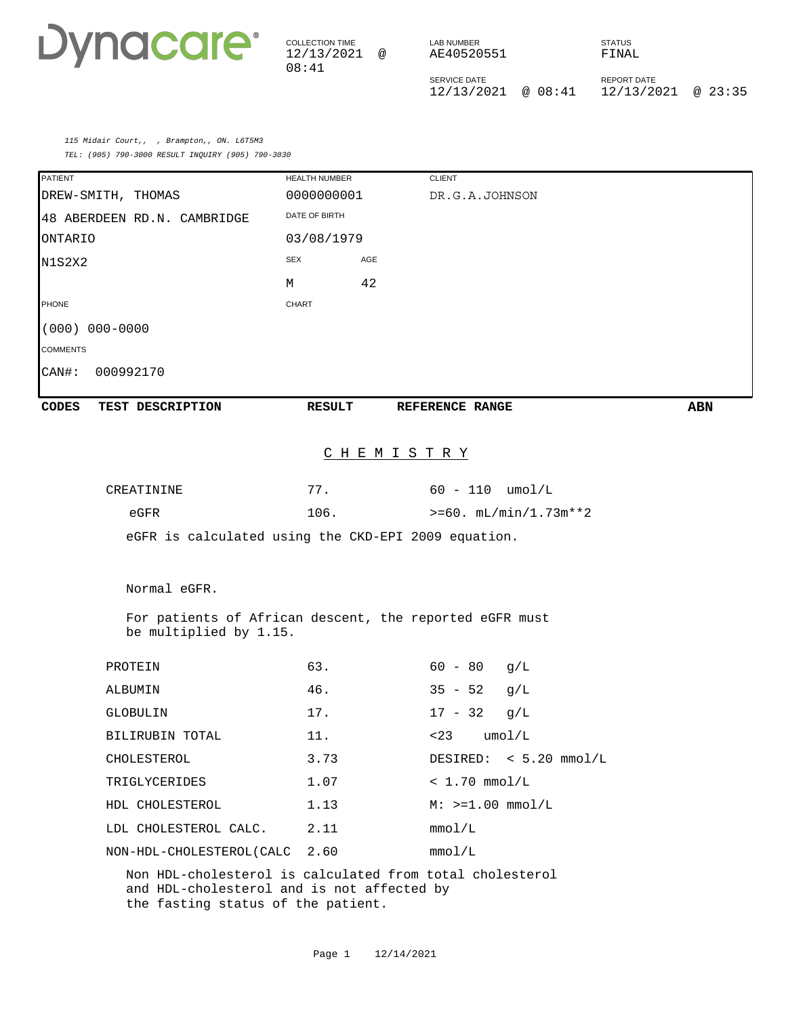COLLECTION TIME 12/13/2021 @ 08:41 LAB NUMBER AE40520551 SERVICE DATE 12/13/2021 @ 08:41 12/13/2021 @ 23:35 STATUS FINAL REPORT DATE

115 Midair Court,, , Brampton,, ON. L6T5M3 TEL: (905) 790-3000 RESULT INQUIRY (905) 790-3030

| <b>PATIENT</b>                                                                   | HEALTH NUMBER     | <b>CLIENT</b>                                            |            |
|----------------------------------------------------------------------------------|-------------------|----------------------------------------------------------|------------|
| DREW-SMITH, THOMAS                                                               | 0000000001        | DR.G.A.JOHNSON                                           |            |
| 48 ABERDEEN RD.N. CAMBRIDGE                                                      | DATE OF BIRTH     |                                                          |            |
| ONTARIO                                                                          | 03/08/1979        |                                                          |            |
| N1S2X2                                                                           | <b>SEX</b><br>AGE |                                                          |            |
|                                                                                  | 42<br>М           |                                                          |            |
| <b>PHONE</b>                                                                     | <b>CHART</b>      |                                                          |            |
| $(000) 000 - 0000$                                                               |                   |                                                          |            |
| <b>COMMENTS</b>                                                                  |                   |                                                          |            |
| CAN#:<br>000992170                                                               |                   |                                                          |            |
| <b>CODES</b><br>TEST DESCRIPTION                                                 | <b>RESULT</b>     | REFERENCE RANGE                                          | <b>ABN</b> |
|                                                                                  |                   | <u>C H E M I S T R Y</u>                                 |            |
|                                                                                  |                   |                                                          |            |
| CREATININE<br>eGFR                                                               | 77.<br>106.       | $60 - 110$ umol/L<br>$>= 60. mL/min/1.73m**2$            |            |
|                                                                                  |                   | eGFR is calculated using the CKD-EPI 2009 equation.      |            |
| Normal eGFR.                                                                     |                   |                                                          |            |
|                                                                                  |                   |                                                          |            |
| be multiplied by 1.15.                                                           |                   | For patients of African descent, the reported eGFR must  |            |
| PROTEIN                                                                          | 63.               | $60 - 80$<br>g/L                                         |            |
| ALBUMIN                                                                          | 46.               | $35 - 52$<br>g/L                                         |            |
| <b>GLOBULIN</b>                                                                  | 17.               | $17 - 32$<br>q/L                                         |            |
| BILIRUBIN TOTAL                                                                  | 11.               | $<$ 23 $umol/L$                                          |            |
| CHOLESTEROL                                                                      | 3.73              | DESIRED: $< 5.20$ mmol/L                                 |            |
| TRIGLYCERIDES                                                                    | 1.07              | $< 1.70$ mmol/L                                          |            |
| HDL CHOLESTEROL                                                                  | 1.13              | $M: >=1.00$ mmol/L                                       |            |
| LDL CHOLESTEROL CALC.                                                            | 2.11              | mmol/L                                                   |            |
| NON-HDL-CHOLESTEROL (CALC                                                        | 2.60              | mmol/L                                                   |            |
| and HDL-cholesterol and is not affected by<br>the fasting status of the patient. |                   | Non HDL-cholesterol is calculated from total cholesterol |            |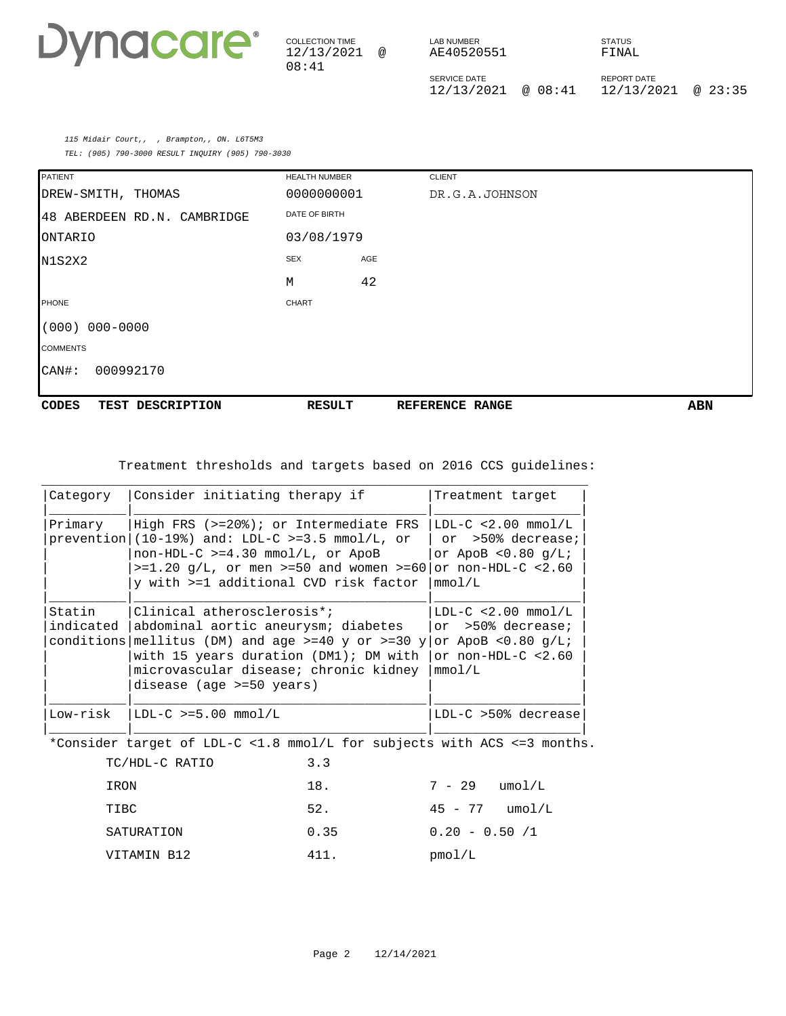

| <b>COLLECTION TIME</b><br>12/13/2021<br>08:41 | $\omega$ | LAB NUMBER<br>AE40520551          |         | <b>STATUS</b><br>FINAL.          |         |
|-----------------------------------------------|----------|-----------------------------------|---------|----------------------------------|---------|
|                                               |          | <b>SERVICE DATE</b><br>12/13/2021 | ⊚ 08:41 | <b>REPORT DATE</b><br>12/13/2021 | @ 23:35 |

115 Midair Court,, , Brampton,, ON. L6T5M3 TEL: (905) 790-3000 RESULT INQUIRY (905) 790-3030

| <b>PATIENT</b>                   | <b>HEALTH NUMBER</b> |     | <b>CLIENT</b>   |            |
|----------------------------------|----------------------|-----|-----------------|------------|
| DREW-SMITH, THOMAS               | 0000000001           |     | DR.G.A.JOHNSON  |            |
| 48 ABERDEEN RD.N. CAMBRIDGE      | DATE OF BIRTH        |     |                 |            |
| <b>ONTARIO</b>                   | 03/08/1979           |     |                 |            |
| N1S2X2                           | <b>SEX</b>           | AGE |                 |            |
|                                  | M                    | 42  |                 |            |
| PHONE                            | <b>CHART</b>         |     |                 |            |
| $000 - 0000$<br>(000)            |                      |     |                 |            |
| <b>COMMENTS</b>                  |                      |     |                 |            |
| 000992170<br>$CAN#$ :            |                      |     |                 |            |
|                                  |                      |     |                 |            |
| <b>CODES</b><br>TEST DESCRIPTION | <b>RESULT</b>        |     | REFERENCE RANGE | <b>ABN</b> |

Treatment thresholds and targets based on 2016 CCS guidelines:

| Category            | Consider initiating therapy if                                                                                                                                                                                                                 | Treatment target                                                                                        |
|---------------------|------------------------------------------------------------------------------------------------------------------------------------------------------------------------------------------------------------------------------------------------|---------------------------------------------------------------------------------------------------------|
| Primary             | High FRS $(>=20$ <sup>2</sup> ); or Intermediate FRS<br>prevention $(10-19%)$ and: LDL-C >=3.5 mmol/L, or<br>$non-HDL-C$ >=4.30 mmol/L, or ApoB<br>$> = 1.20$ q/L, or men $> = 50$ and women $> = 60$<br>y with >=1 additional CVD risk factor | $LDL-C < 2.00$ mmol/L<br>or >50% decrease;<br>or ApoB $< 0.80$ q/L;<br>or $non-HDL-C < 2.60$<br>mmol/L  |
| Statin<br>indicated | Clinical atherosclerosis*;<br>abdominal aortic aneurysm; diabetes<br>conditions mellitus (DM) and age $>=40$ y or $>=30$ y<br>with 15 years duration (DM1); DM with<br>microvascular disease; chronic kidney<br>disease (age >=50 years)       | $LDL-C < 2.00$ mmol/L<br>or >50% decrease;<br>or ApoB $< 0.80$ q/L;<br>or non-HDL- $C < 2.60$<br>mmol/L |
| Low-risk            | $ LDL-C \rangle = 5.00$ mmol/L                                                                                                                                                                                                                 | $LDL-C > 50$ % decrease                                                                                 |

\*Consider target of LDL-C <1.8 mmol/L for subjects with ACS <=3 months.

| TC/HDL-C RATIO | 3.3  |                    |
|----------------|------|--------------------|
| IRON           | 18.  | $7 - 29$<br>umol/L |
| TIBC           | 52.  | 45 - 77<br>umol/L  |
| SATURATION     | 0.35 | $0.20 - 0.50 / 1$  |
| VITAMIN B12    | 411. | pmol/L             |